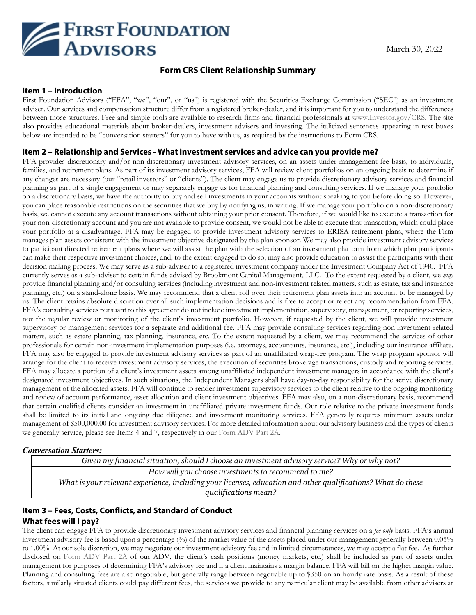

## **Form CRS Client Relationship Summary**

#### **Item 1 – Introduction**

First Foundation Advisors ("FFA", "we", "our", or "us") is registered with the Securities Exchange Commission ("SEC") as an investment adviser. Our services and compensation structure differ from a registered broker-dealer, and it is important for you to understand the differences between those structures. Free and simple tools are available to research firms and financial professionals at [www.Investor.gov/CRS.](http://www.investor.gov/CRS) The site also provides educational materials about broker-dealers, investment advisers and investing. The italicized sentences appearing in text boxes below are intended to be "conversation starters" for you to have with us, as required by the instructions to Form CRS.

#### **Item 2 – Relationship and Services - What investment services and advice can you provide me?**

FFA provides discretionary and/or non-discretionary investment advisory services, on an assets under management fee basis, to individuals, families, and retirement plans. As part of its investment advisory services, FFA will review client portfolios on an ongoing basis to determine if any changes are necessary (our "retail investors" or "clients"). The client may engage us to provide discretionary advisory services and financial planning as part of a single engagement or may separately engage us for financial planning and consulting services. If we manage your portfolio on a discretionary basis, we have the authority to buy and sell investments in your accounts without speaking to you before doing so. However, you can place reasonable restrictions on the securities that we buy by notifying us, in writing. If we manage your portfolio on a non-discretionary basis, we cannot execute any account transactions without obtaining your prior consent. Therefore, if we would like to execute a transaction for your non-discretionary account and you are not available to provide consent, we would not be able to execute that transaction, which could place your portfolio at a disadvantage. FFA may be engaged to provide investment advisory services to ERISA retirement plans, where the Firm manages plan assets consistent with the investment objective designated by the plan sponsor. We may also provide investment advisory services to participant directed retirement plans where we will assist the plan with the selection of an investment platform from which plan participants can make their respective investment choices, and, to the extent engaged to do so, may also provide education to assist the participants with their decision making process. We may serve as a sub-adviser to a registered investment company under the Investment Company Act of 1940. FFA currently serves as a sub-adviser to certain funds advised by Brookmont Capital Management, LLC. To the extent requested by a client, we *may* provide financial planning and/or consulting services (including investment and non-investment related matters, such as estate, tax and insurance planning, etc.) on a stand-alone basis. We may recommend that a client roll over their retirement plan assets into an account to be managed by us. The client retains absolute discretion over all such implementation decisions and is free to accept or reject any recommendation from FFA. FFA's consulting services pursuant to this agreement do not include investment implementation, supervisory, management, or reporting services, nor the regular review or monitoring of the client's investment portfolio. However, if requested by the client, we will provide investment supervisory or management services for a separate and additional fee. FFA may provide consulting services regarding non-investment related matters, such as estate planning, tax planning, insurance, etc. To the extent requested by a client, we may recommend the services of other professionals for certain non-investment implementation purposes (i.e. attorneys, accountants, insurance, etc.), including our insurance affiliate. FFA may also be engaged to provide investment advisory services as part of an unaffiliated wrap-fee program. The wrap program sponsor will arrange for the client to receive investment advisory services, the execution of securities brokerage transactions, custody and reporting services. FFA may allocate a portion of a client's investment assets among unaffiliated independent investment managers in accordance with the client's designated investment objectives. In such situations, the Independent Managers shall have day-to-day responsibility for the active discretionary management of the allocated assets. FFA will continue to render investment supervisory services to the client relative to the ongoing monitoring and review of account performance, asset allocation and client investment objectives. FFA may also, on a non-discretionary basis, recommend that certain qualified clients consider an investment in unaffiliated private investment funds. Our role relative to the private investment funds shall be limited to its initial and ongoing due diligence and investment monitoring services. FFA generally requires minimum assets under management of \$500,000.00 for investment advisory services. For more detailed information about our advisory business and the types of clients we generally service, please see Items 4 and 7, respectively in our [Form ADV Part 2A.](https://files.adviserinfo.sec.gov/IAPD/Content/Common/crd_iapd_Brochure.aspx?BRCHR_VRSN_ID=771167)

### *Conversation Starters:*

*Given my financial situation, should I choose an investment advisory service? Why or why not? How will you choose investments to recommend to me? What is your relevant experience, including your licenses, education and other qualifications? What do these qualifications mean?*

## **Item 3 – Fees, Costs, Conflicts, and Standard of Conduct What fees will I pay?**

The client can engage FFA to provide discretionary investment advisory services and financial planning services on a *fee-only* basis. FFA's annual investment advisory fee is based upon a percentage (%) of the market value of the assets placed under our management generally between 0.05% to 1.00%. At our sole discretion, we may negotiate our investment advisory fee and in limited circumstances, we may accept a flat fee. As further disclosed on [Form ADV Part 2A](https://files.adviserinfo.sec.gov/IAPD/Content/Common/crd_iapd_Brochure.aspx?BRCHR_VRSN_ID=771167) of our ADV, the client's cash positions (money markets, etc.) shall be included as part of assets under management for purposes of determining FFA's advisory fee and if a client maintains a margin balance, FFA will bill on the higher margin value. Planning and consulting fees are also negotiable, but generally range between negotiable up to \$350 on an hourly rate basis. As a result of these factors, similarly situated clients could pay different fees, the services we provide to any particular client may be available from other advisers at